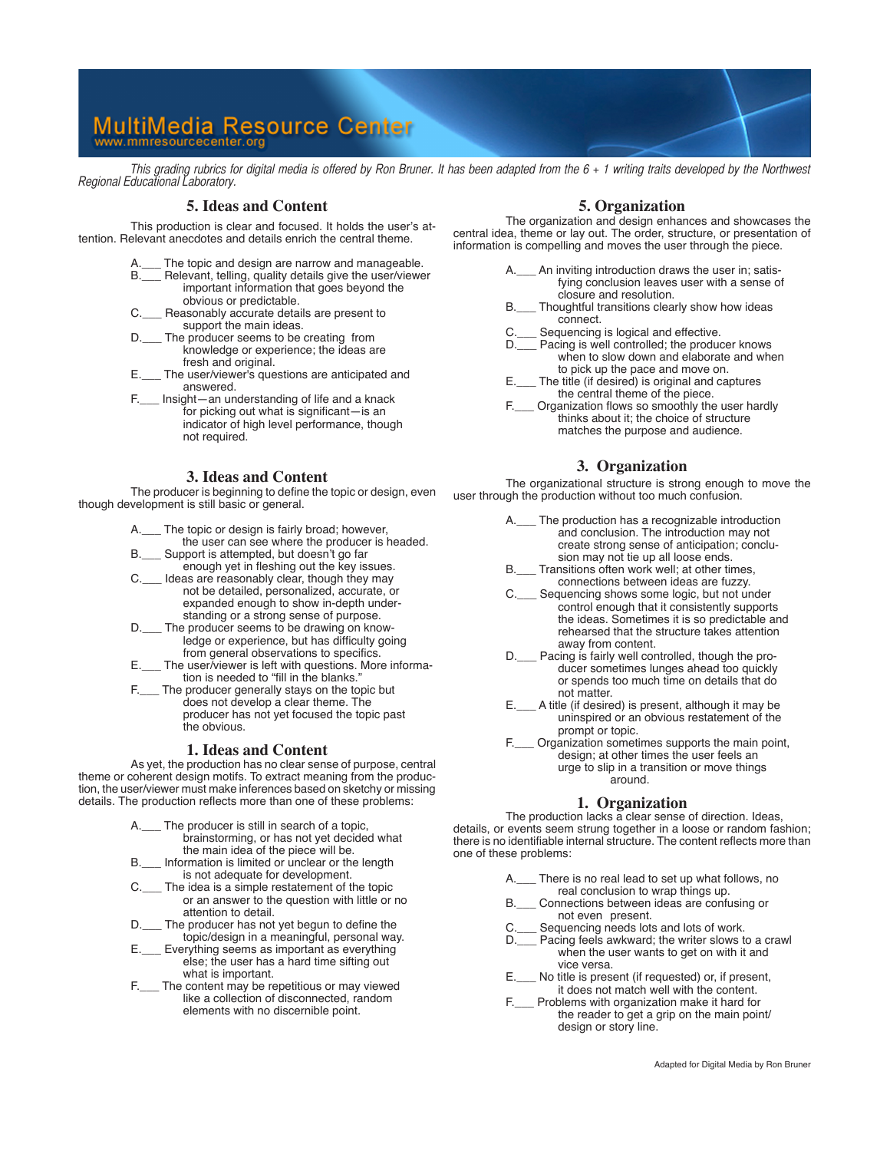# MultiMedia Resource Center

This grading rubrics for digital media is offered by Ron Bruner. It has been adapted from the 6 + 1 writing traits developed by the Northwest Regional Educational Laboratory.

## **5. Ideas and Content**

This production is clear and focused. It holds the user's attention. Relevant anecdotes and details enrich the central theme.

- The topic and design are narrow and manageable.
- Relevant, telling, quality details give the user/viewer important information that goes beyond the obvious or predictable.
- C.\_\_\_ Reasonably accurate details are present to support the main ideas.<br>D. The producer seems to be
- The producer seems to be creating from knowledge or experience; the ideas are fresh and original.
- E.\_\_\_ The user/viewer's questions are anticipated and answered.<br>F Insight—an un
- Insight—an understanding of life and a knack for picking out what is significant—is an indicator of high level performance, though not required.

## **3. Ideas and Content**

The producer is beginning to define the topic or design, even though development is still basic or general.

- A.\_\_\_ The topic or design is fairly broad; however,
- the user can see where the producer is headed.<br>B. Support is attempted, but doesn't go far B.\_\_\_ Support is attempted, but doesn't go far
- enough yet in fleshing out the key issues.
- Ideas are reasonably clear, though they may not be detailed, personalized, accurate, or expanded enough to show in-depth under standing or a strong sense of purpose.
	- D.\_\_\_ The producer seems to be drawing on know- ledge or experience, but has difficulty going from general observations to specifics.
	- E.\_\_\_ The user/viewer is left with questions. More informa tion is needed to "fill in the blanks."<br>"<br>F. The producer generally stays on the to
	- \_ The producer generally stays on the topic but does not develop a clear theme. The producer has not yet focused the topic past the obvious.

## **1. Ideas and Content**

As yet, the production has no clear sense of purpose, central theme or coherent design motifs. To extract meaning from the production, the user/viewer must make inferences based on sketchy or missing details. The production reflects more than one of these problems:

- The producer is still in search of a topic,
- brainstorming, or has not yet decided what the main idea of the piece will be.
- \_ Information is limited or unclear or the length  $\overline{\phantom{a}}$  is not adequate for development.<br>C. The idea is a simple restatement of the
- C.\_\_\_ The idea is a simple restatement of the topic or an answer to the question with little or no attention to detail.<br>D The producer has not
- D.\_\_\_ The producer has not yet begun to define the topic/design in a meaningful, personal way.
	- E.\_\_\_ Everything seems as important as everything else; the user has a hard time sifting out what is important.
	- F.\_\_\_ The content may be repetitious or may viewed like a collection of disconnected, random elements with no discernible point.

# **5. Organization**

The organization and design enhances and showcases the central idea, theme or lay out. The order, structure, or presentation of information is compelling and moves the user through the piece.

- . An inviting introduction draws the user in; satisfying conclusion leaves user with a sense of
- closure and resolution.<br>B. Thoughtful transitions clear Thoughtful transitions clearly show how ideas connect.<br>C Sequencing
- Sequencing is logical and effective.
- Pacing is well controlled; the producer knows when to slow down and elaborate and when<br>to pick up the pace and move on. to pick up the pace and move on.
- E.\_\_\_ The title (if desired) is original and captures the central theme of the piece.
	- F.\_\_\_ Organization flows so smoothly the user hardly thinks about it; the choice of structure matches the purpose and audience.

## **3. Organization**

The organizational structure is strong enough to move the user through the production without too much confusion.

- \_ The production has a recognizable introduction and conclusion. The introduction may not create strong sense of anticipation; conclu sion may not tie up all loose ends.<br>B Transitions often work well: at other tin
- $\Box$  Transitions often work well; at other times, connections between ideas are fuzzy.
- Sequencing shows some logic, but not under control enough that it consistently supports the ideas. Sometimes it is so predictable and rehearsed that the structure takes attention away from content.<br>D. Pacing is fairly well cor
- Pacing is fairly well controlled, though the pro ducer sometimes lunges ahead too quickly or spends too much time on details that do not matter.
	- E.\_\_\_ A title (if desired) is present, although it may be uninspired or an obvious restatement of the prompt or topic.
	- F.\_\_\_ Organization sometimes supports the main point, design; at other times the user feels an urge to slip in a transition or move things .<br>around.

# **1. Organization**

The production lacks a clear sense of direction. Ideas, details, or events seem strung together in a loose or random fashion; there is no identifiable internal structure. The content reflects more than one of these problems:

- \_ There is no real lead to set up what follows, no real conclusion to wrap things up.<br>B Connections between ideas are confu
- B. Connections between ideas are confusing or not even present.
- Sequencing needs lots and lots of work.
- Pacing feels awkward; the writer slows to a crawl when the user wants to get on with it and vice versa.<br>E. No title is prese
- \_ No title is present (if requested) or, if present, it does not match well with the content.<br>F Problems with organization make it hard for
- Problems with organization make it hard for the reader to get a grip on the main point/ design or story line.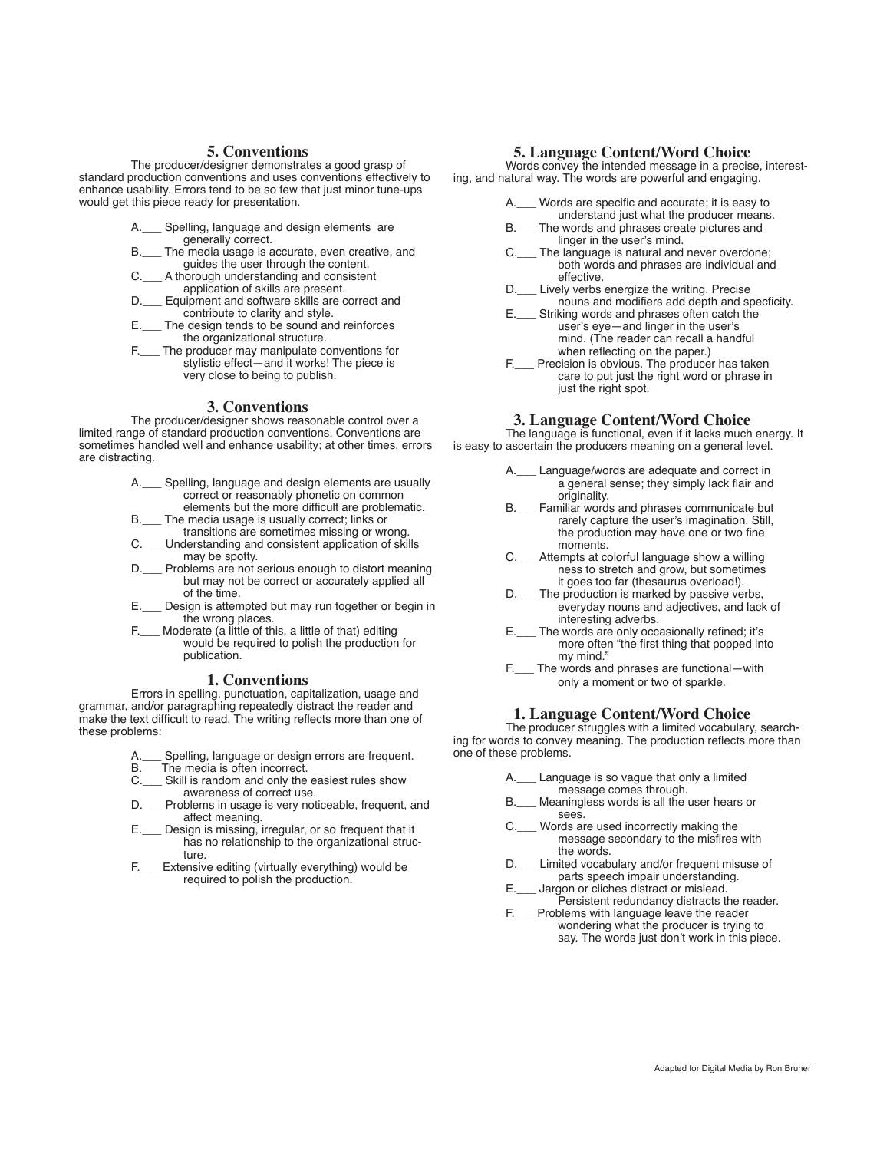# **5. Conventions**

The producer/designer demonstrates a good grasp of standard production conventions and uses conventions effectively to enhance usability. Errors tend to be so few that just minor tune-ups would get this piece ready for presentation.

- Spelling, language and design elements are generally correct.
- Fig. The media usage is accurate, even creative, and guides the user through the content.
- A thorough understanding and consistent application of skills are present.<br>D. Equipment and software skills are c
- D.\_\_\_ Equipment and software skills are correct and contribute to clarity and style.
	- $\_$  The design tends to be sound and reinforces the organizational structure.
	- The producer may manipulate conventions for stylistic effect—and it works! The piece is very close to being to publish.

#### **3. Conventions**

The producer/designer shows reasonable control over a limited range of standard production conventions. Conventions are sometimes handled well and enhance usability; at other times, errors are distracting.

- <sup>2</sup> Spelling, language and design elements are usually correct or reasonably phonetic on common
- elements but the more difficult are problematic.<br>B. The media usage is usually correct: links or The media usage is usually correct; links or transitions are sometimes missing or wrong.
- \_ Understanding and consistent application of skills may be spotty.<br>D. Problems are not s
- D.\_\_\_ Problems are not serious enough to distort meaning but may not be correct or accurately applied all of the time.
	- E.\_\_\_ Design is attempted but may run together or begin in the wrong places.<br>F Moderate (a little of th
	- F.\_\_\_ Moderate (a little of this, a little of that) editing would be required to polish the production for publication.

#### **1. Conventions**

Errors in spelling, punctuation, capitalization, usage and grammar, and/or paragraphing repeatedly distract the reader and make the text difficult to read. The writing reflects more than one of these problems:

- A. Spelling, language or design errors are frequent.<br>B. The media is often incorrect.
- B. The media is often incorrect.<br>C. Skill is random and only the
- Skill is random and only the easiest rules show awareness of correct use.<br>D. Problems in usage is very not
- Problems in usage is very noticeable, frequent, and affect meaning.
	- E.\_\_\_ Design is missing, irregular, or so frequent that it has no relationship to the organizational struc ture.
	- F.\_\_\_ Extensive editing (virtually everything) would be required to polish the production.

## **5. Language Content/Word Choice**

Words convey the intended message in a precise, interesting, and natural way. The words are powerful and engaging.

- Words are specific and accurate; it is easy to understand just what the producer means.
- B.\_\_\_ The words and phrases create pictures and linger in the user's mind.
	- C.\_\_\_ The language is natural and never overdone; both words and phrases are individual and effective.<br>D lively verbs
	- Lively verbs energize the writing. Precise nouns and modifiers add depth and specficity.
	- \_ Striking words and phrases often catch the user's eye—and linger in the user's mind. (The reader can recall a handful when reflecting on the paper.)
	- F.\_\_\_ Precision is obvious. The producer has taken care to put just the right word or phrase in just the right spot.

# **3. Language Content/Word Choice**

The language is functional, even if it lacks much energy. It is easy to ascertain the producers meaning on a general level.

- \_ Language/words are adequate and correct in a general sense; they simply lack flair and originality.<br>B. Familiar words
- B.\_\_\_ Familiar words and phrases communicate but rarely capture the user's imagination. Still, the production may have one or two fine moments.
	- C.\_\_\_ Attempts at colorful language show a willing ness to stretch and grow, but sometimes it goes too far (thesaurus overload!).
	- \_ The production is marked by passive verbs, everyday nouns and adjectives, and lack of interesting adverbs.
- E.\_\_\_ The words are only occasionally refined; it's more often "the first thing that popped into my mind."
	- F.\_\_\_ The words and phrases are functional—with only a moment or two of sparkle.

# **1. Language Content/Word Choice**

The producer struggles with a limited vocabulary, searching for words to convey meaning. The production reflects more than one of these problems.

- \_ Language is so vague that only a limited message comes through.
- Meaningless words is all the user hears or sees.
- Words are used incorrectly making the message secondary to the misfires with the words.<br>D I imited yocah
- Limited vocabulary and/or frequent misuse of parts speech impair understanding.
	- E.\_\_\_ Jargon or cliches distract or mislead. Persistent redundancy distracts the reader.
	- Problems with language leave the reader wondering what the producer is trying to say. The words just don't work in this piece.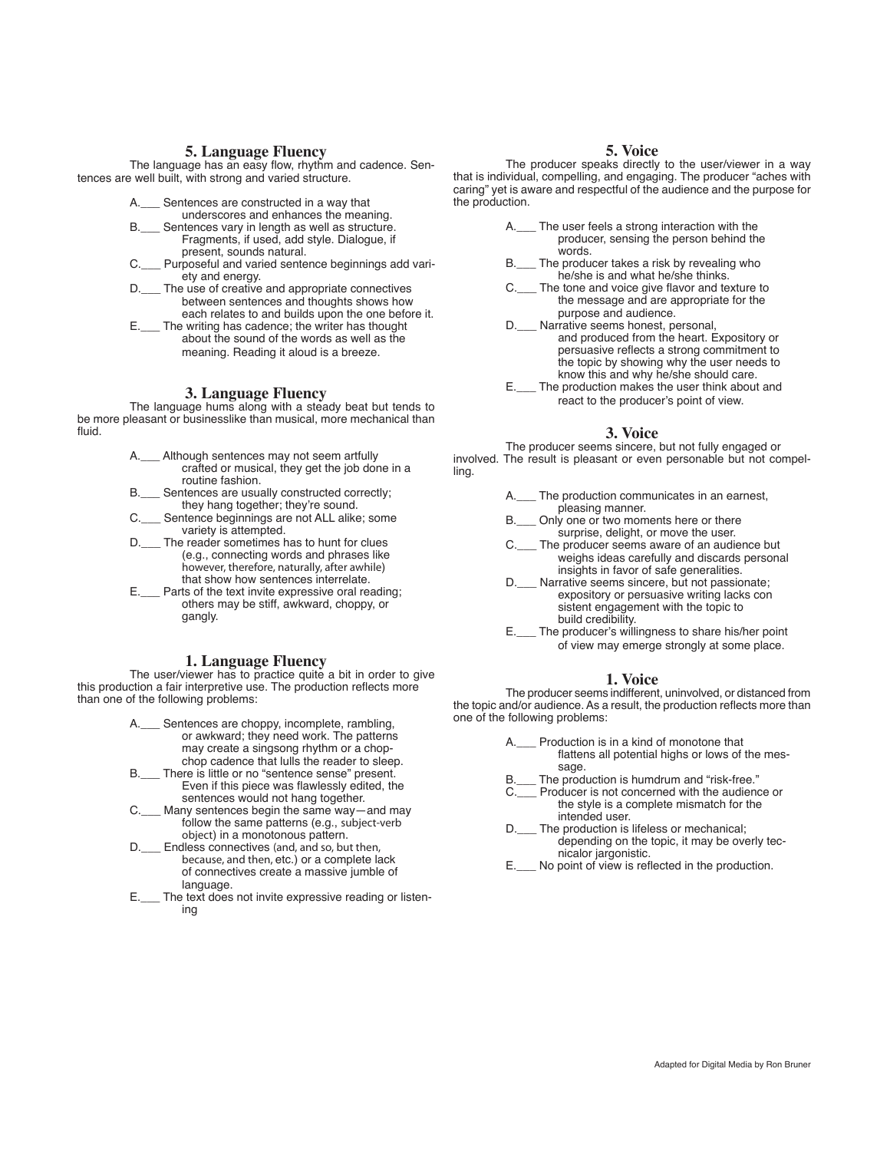## **5. Language Fluency**

 The language has an easy flow, rhythm and cadence. Sentences are well built, with strong and varied structure.

- \_ Sentences are constructed in a way that
- underscores and enhances the meaning.
- Sentences vary in length as well as structure. Fragments, if used, add style. Dialogue, if present, sounds natural.
- Purposeful and varied sentence beginnings add variety and energy.
- D.\_\_\_ The use of creative and appropriate connectives between sentences and thoughts shows how
	- each relates to and builds upon the one before it.<br>F The writing has cadence: the writer has thought The writing has cadence; the writer has thought about the sound of the words as well as the meaning. Reading it aloud is a breeze.

## **3. Language Fluency**

The language hums along with a steady beat but tends to be more pleasant or businesslike than musical, more mechanical than fluid.

- \_ Although sentences may not seem artfully crafted or musical, they get the job done in a routine fashion.<br>B Sentences are usual
- B.\_\_\_ Sentences are usually constructed correctly; they hang together; they're sound.
	- C.\_\_\_ Sentence beginnings are not ALL alike; some variety is attempted.
	- D. The reader sometimes has to hunt for clues (e.g., connecting words and phrases like however, therefore, naturally, after awhile) that show how sentences interrelate.
	- E.\_\_\_ Parts of the text invite expressive oral reading; others may be stiff, awkward, choppy, or gangly.

# **1. Language Fluency**

The user/viewer has to practice quite a bit in order to give this production a fair interpretive use. The production reflects more than one of the following problems:

- A.\_\_\_ Sentences are choppy, incomplete, rambling, or awkward; they need work. The patterns may create a singsong rhythm or a chop chop cadence that lulls the reader to sleep.
- B.\_\_\_ There is little or no "sentence sense" present. Even if this piece was flawlessly edited, the sentences would not hang together.<br>C. Many sentences begin the same way-
	- Many sentences begin the same way—and may follow the same patterns (e.g., subject-verb object) in a monotonous pattern.<br>D. Endless connectives (and and so but
	- $\_$  Endless connectives (and, and so, but then, because, and then, etc.) or a complete lack of connectives create a massive jumble of language.
- E.<sub>\_\_\_</sub>\_ The text does not invite expressive reading or listen-<br>ing ing and the state of the state of the state of the state of the state of the state of the state of the state o

#### **5. Voice**

The producer speaks directly to the user/viewer in a way that is individual, compelling, and engaging. The producer "aches with caring" yet is aware and respectful of the audience and the purpose for the production.

- The user feels a strong interaction with the producer, sensing the person behind the words.
- \_ The producer takes a risk by revealing who he/she is and what he/she thinks.
- \_ The tone and voice give flavor and texture to the message and are appropriate for the purpose and audience.<br>D Narrative seems honest per
- \_\_ Narrative seems honest, personal, and produced from the heart. Expository or persuasive reflects a strong commitment to the topic by showing why the user needs to know this and why he/she should care.
	- E.\_\_\_ The production makes the user think about and react to the producer's point of view.

#### **3. Voice**

The producer seems sincere, but not fully engaged or involved. The result is pleasant or even personable but not compelling.

- A.\_\_\_ The production communicates in an earnest, pleasing manner.
	- B.\_\_\_ Only one or two moments here or there surprise, delight, or move the user.
	- The producer seems aware of an audience but weighs ideas carefully and discards personal insights in favor of safe generalities.<br>D. Narrative seems sincere but not passion
	- \_\_ Narrative seems sincere, but not passionate; expository or persuasive writing lacks con sistent engagement with the topic to build credibility.
	- E.\_\_\_ The producer's willingness to share his/her point of view may emerge strongly at some place.

#### **1. Voice**

The producer seems indifferent, uninvolved, or distanced from the topic and/or audience. As a result, the production reflects more than one of the following problems:

- A.\_\_\_ Production is in a kind of monotone that flattens all potential highs or lows of the mes sage.
	- The production is humdrum and "risk-free."
	- Producer is not concerned with the audience or the style is a complete mismatch for the intended user.
	- The production is lifeless or mechanical; depending on the topic, it may be overly tec nicalor jargonistic.
	- E.\_\_\_ No point of view is reflected in the production.